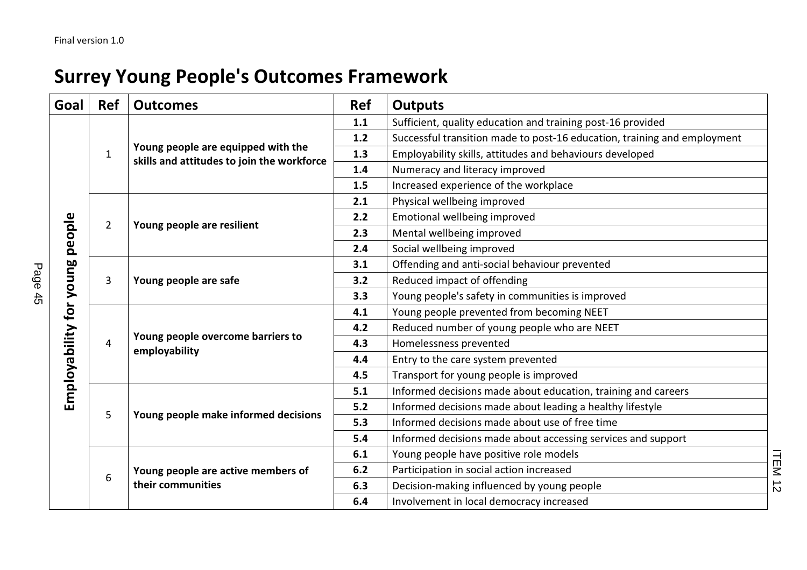## Surrey Young People's Outcomes Framework

| Goal                           | <b>Ref</b>     | <b>Outcomes</b>                                                                  | <b>Ref</b> | <b>Outputs</b>                                                           |
|--------------------------------|----------------|----------------------------------------------------------------------------------|------------|--------------------------------------------------------------------------|
| Employability for young people | $\mathbf{1}$   | Young people are equipped with the<br>skills and attitudes to join the workforce | 1.1        | Sufficient, quality education and training post-16 provided              |
|                                |                |                                                                                  | 1.2        | Successful transition made to post-16 education, training and employment |
|                                |                |                                                                                  | 1.3        | Employability skills, attitudes and behaviours developed                 |
|                                |                |                                                                                  | 1.4        | Numeracy and literacy improved                                           |
|                                |                |                                                                                  | 1.5        | Increased experience of the workplace                                    |
|                                | $\overline{2}$ | Young people are resilient                                                       | 2.1        | Physical wellbeing improved                                              |
|                                |                |                                                                                  | 2.2        | Emotional wellbeing improved                                             |
|                                |                |                                                                                  | 2.3        | Mental wellbeing improved                                                |
|                                |                |                                                                                  | 2.4        | Social wellbeing improved                                                |
|                                | 3              | Young people are safe                                                            | 3.1        | Offending and anti-social behaviour prevented                            |
|                                |                |                                                                                  | 3.2        | Reduced impact of offending                                              |
|                                |                |                                                                                  | 3.3        | Young people's safety in communities is improved                         |
|                                | 4              | Young people overcome barriers to<br>employability                               | 4.1        | Young people prevented from becoming NEET                                |
|                                |                |                                                                                  | 4.2        | Reduced number of young people who are NEET                              |
|                                |                |                                                                                  | 4.3        | Homelessness prevented                                                   |
|                                |                |                                                                                  | 4.4        | Entry to the care system prevented                                       |
|                                |                |                                                                                  | 4.5        | Transport for young people is improved                                   |
|                                | 5              | Young people make informed decisions                                             | 5.1        | Informed decisions made about education, training and careers            |
|                                |                |                                                                                  | 5.2        | Informed decisions made about leading a healthy lifestyle                |
|                                |                |                                                                                  | 5.3        | Informed decisions made about use of free time                           |
|                                |                |                                                                                  | 5.4        | Informed decisions made about accessing services and support             |
|                                | 6              | Young people are active members of<br>their communities                          | 6.1        | Young people have positive role models                                   |
|                                |                |                                                                                  | 6.2        | Participation in social action increased                                 |
|                                |                |                                                                                  | 6.3        | Decision-making influenced by young people                               |
|                                |                |                                                                                  | 6.4        | Involvement in local democracy increased                                 |

Page 45

ITEM 12